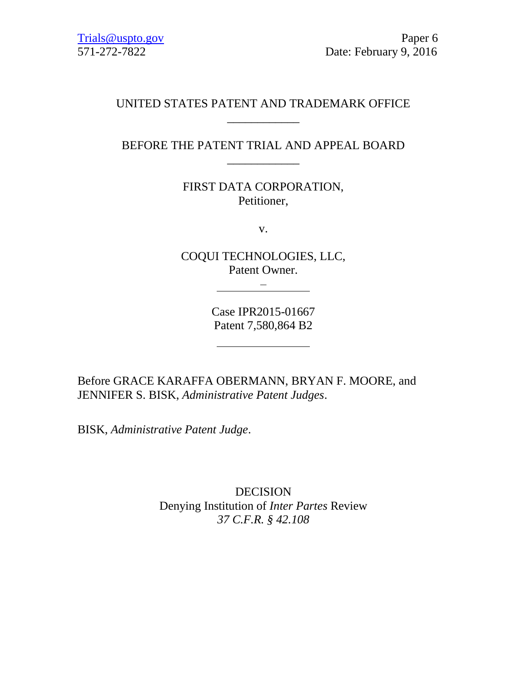### UNITED STATES PATENT AND TRADEMARK OFFICE \_\_\_\_\_\_\_\_\_\_\_\_

# BEFORE THE PATENT TRIAL AND APPEAL BOARD \_\_\_\_\_\_\_\_\_\_\_\_

FIRST DATA CORPORATION, Petitioner,

v.

COQUI TECHNOLOGIES, LLC, Patent Owner.

 $\frac{1}{\sqrt{2}}$  –  $\frac{1}{\sqrt{2}}$  –  $\frac{1}{\sqrt{2}}$  –  $\frac{1}{\sqrt{2}}$  –  $\frac{1}{\sqrt{2}}$  –  $\frac{1}{\sqrt{2}}$  –  $\frac{1}{\sqrt{2}}$  –  $\frac{1}{\sqrt{2}}$  –  $\frac{1}{\sqrt{2}}$  –  $\frac{1}{\sqrt{2}}$  –  $\frac{1}{\sqrt{2}}$  –  $\frac{1}{\sqrt{2}}$  –  $\frac{1}{\sqrt{2}}$  –  $\frac{1}{\sqrt{2}}$  –  $\frac{1}{\sqrt{2}}$ 

Case IPR2015-01667 Patent 7,580,864 B2

Before GRACE KARAFFA OBERMANN, BRYAN F. MOORE, and JENNIFER S. BISK, *Administrative Patent Judges*.

BISK, *Administrative Patent Judge*.

DECISION Denying Institution of *Inter Partes* Review *37 C.F.R. § 42.108*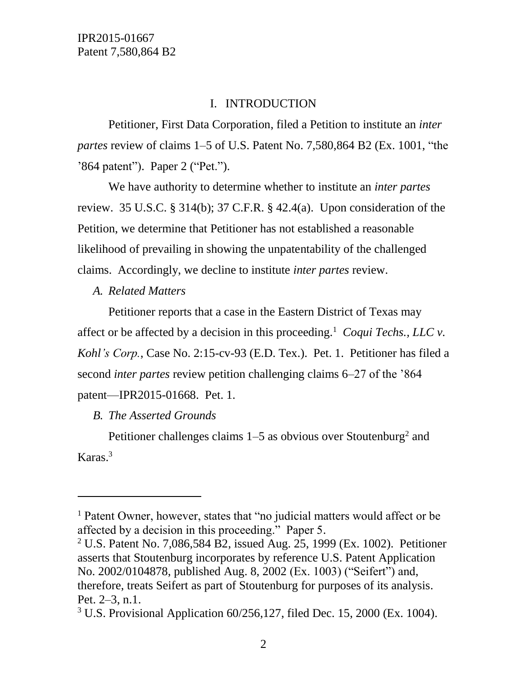# I. INTRODUCTION

Petitioner, First Data Corporation, filed a Petition to institute an *inter partes* review of claims 1–5 of U.S. Patent No. 7,580,864 B2 (Ex. 1001, "the '864 patent"). Paper 2 ("Pet.").

We have authority to determine whether to institute an *inter partes* review. 35 U.S.C. § 314(b); 37 C.F.R. § 42.4(a). Upon consideration of the Petition, we determine that Petitioner has not established a reasonable likelihood of prevailing in showing the unpatentability of the challenged claims. Accordingly, we decline to institute *inter partes* review.

*A. Related Matters*

Petitioner reports that a case in the Eastern District of Texas may affect or be affected by a decision in this proceeding.<sup>1</sup> Coqui Techs., LLC  $\nu$ . *Kohl's Corp.*, Case No. 2:15-cv-93 (E.D. Tex.). Pet. 1. Petitioner has filed a second *inter partes* review petition challenging claims 6–27 of the '864 patent—IPR2015-01668. Pet. 1.

*B. The Asserted Grounds*

 $\overline{a}$ 

Petitioner challenges claims  $1-5$  as obvious over Stoutenburg<sup>2</sup> and Karas.<sup>3</sup>

<sup>&</sup>lt;sup>1</sup> Patent Owner, however, states that "no judicial matters would affect or be affected by a decision in this proceeding." Paper 5.

<sup>&</sup>lt;sup>2</sup> U.S. Patent No. 7,086,584 B2, issued Aug. 25, 1999 (Ex. 1002). Petitioner asserts that Stoutenburg incorporates by reference U.S. Patent Application No. 2002/0104878, published Aug. 8, 2002 (Ex. 1003) ("Seifert") and, therefore, treats Seifert as part of Stoutenburg for purposes of its analysis. Pet. 2–3, n.1.

<sup>3</sup> U.S. Provisional Application 60/256,127, filed Dec. 15, 2000 (Ex. 1004).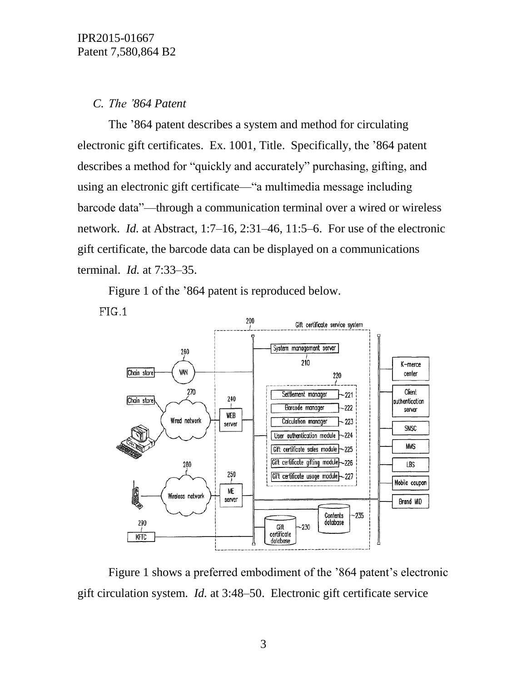# *C. The '864 Patent*

The '864 patent describes a system and method for circulating electronic gift certificates. Ex. 1001, Title. Specifically, the '864 patent describes a method for "quickly and accurately" purchasing, gifting, and using an electronic gift certificate—"a multimedia message including barcode data"—through a communication terminal over a wired or wireless network. *Id.* at Abstract, 1:7–16, 2:31–46, 11:5–6. For use of the electronic gift certificate, the barcode data can be displayed on a communications terminal. *Id.* at 7:33–35.

Figure 1 of the '864 patent is reproduced below.





Figure 1 shows a preferred embodiment of the '864 patent's electronic gift circulation system. *Id.* at 3:48–50. Electronic gift certificate service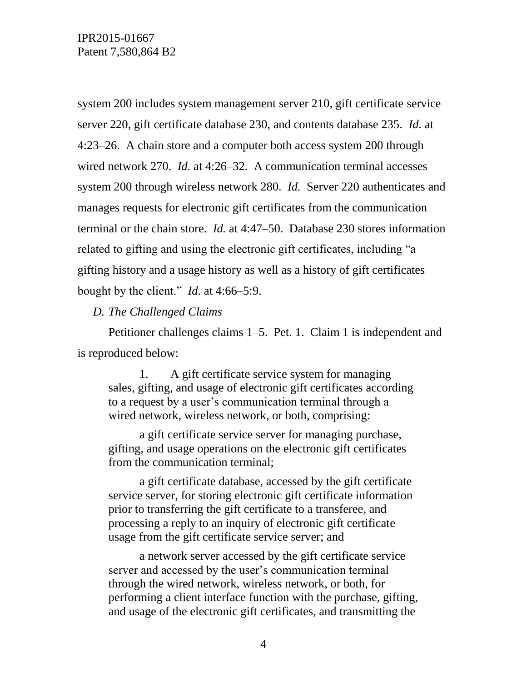system 200 includes system management server 210, gift certificate service server 220, gift certificate database 230, and contents database 235. *Id.* at 4:23–26. A chain store and a computer both access system 200 through wired network 270. *Id.* at 4:26–32. A communication terminal accesses system 200 through wireless network 280. *Id.* Server 220 authenticates and manages requests for electronic gift certificates from the communication terminal or the chain store. *Id.* at 4:47–50. Database 230 stores information related to gifting and using the electronic gift certificates, including "a gifting history and a usage history as well as a history of gift certificates bought by the client." *Id.* at 4:66–5:9.

*D. The Challenged Claims*

Petitioner challenges claims 1–5. Pet. 1. Claim 1 is independent and is reproduced below:

1. A gift certificate service system for managing sales, gifting, and usage of electronic gift certificates according to a request by a user's communication terminal through a wired network, wireless network, or both, comprising:

a gift certificate service server for managing purchase, gifting, and usage operations on the electronic gift certificates from the communication terminal;

a gift certificate database, accessed by the gift certificate service server, for storing electronic gift certificate information prior to transferring the gift certificate to a transferee, and processing a reply to an inquiry of electronic gift certificate usage from the gift certificate service server; and

a network server accessed by the gift certificate service server and accessed by the user's communication terminal through the wired network, wireless network, or both, for performing a client interface function with the purchase, gifting, and usage of the electronic gift certificates, and transmitting the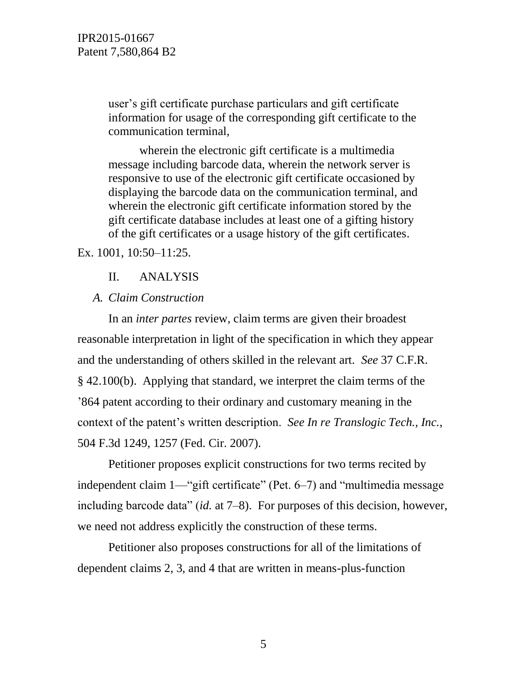user's gift certificate purchase particulars and gift certificate information for usage of the corresponding gift certificate to the communication terminal,

wherein the electronic gift certificate is a multimedia message including barcode data, wherein the network server is responsive to use of the electronic gift certificate occasioned by displaying the barcode data on the communication terminal, and wherein the electronic gift certificate information stored by the gift certificate database includes at least one of a gifting history of the gift certificates or a usage history of the gift certificates.

Ex. 1001, 10:50–11:25.

### II. ANALYSIS

#### *A. Claim Construction*

In an *inter partes* review, claim terms are given their broadest reasonable interpretation in light of the specification in which they appear and the understanding of others skilled in the relevant art. *See* 37 C.F.R. § 42.100(b). Applying that standard, we interpret the claim terms of the '864 patent according to their ordinary and customary meaning in the context of the patent's written description. *See In re Translogic Tech., Inc.*, 504 F.3d 1249, 1257 (Fed. Cir. 2007).

Petitioner proposes explicit constructions for two terms recited by independent claim 1—"gift certificate" (Pet. 6–7) and "multimedia message including barcode data" (*id.* at 7–8). For purposes of this decision, however, we need not address explicitly the construction of these terms.

Petitioner also proposes constructions for all of the limitations of dependent claims 2, 3, and 4 that are written in means-plus-function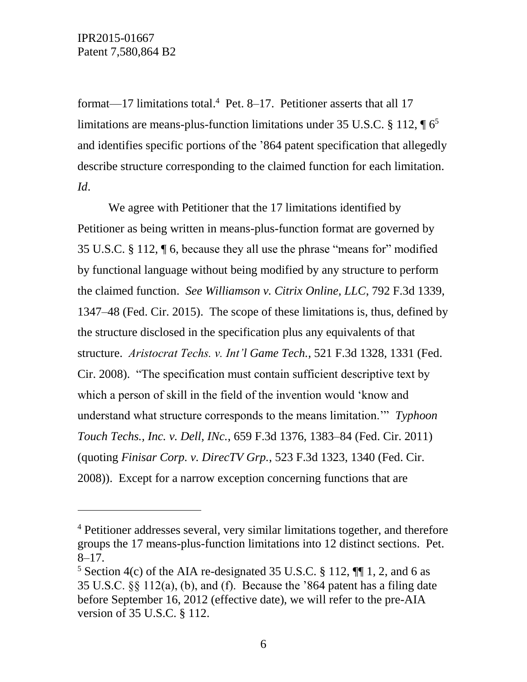$\overline{a}$ 

format—17 limitations total. 4 Pet. 8–17. Petitioner asserts that all 17 limitations are means-plus-function limitations under 35 U.S.C.  $\S 112$ ,  $\P 6<sup>5</sup>$ and identifies specific portions of the '864 patent specification that allegedly describe structure corresponding to the claimed function for each limitation. *Id*.

We agree with Petitioner that the 17 limitations identified by Petitioner as being written in means-plus-function format are governed by 35 U.S.C. § 112, ¶ 6, because they all use the phrase "means for" modified by functional language without being modified by any structure to perform the claimed function. *See Williamson v. Citrix Online, LLC*, 792 F.3d 1339, 1347–48 (Fed. Cir. 2015). The scope of these limitations is, thus, defined by the structure disclosed in the specification plus any equivalents of that structure. *Aristocrat Techs. v. Int'l Game Tech.*, 521 F.3d 1328, 1331 (Fed. Cir. 2008). "The specification must contain sufficient descriptive text by which a person of skill in the field of the invention would 'know and understand what structure corresponds to the means limitation.'" *Typhoon Touch Techs., Inc. v. Dell, INc.*, 659 F.3d 1376, 1383–84 (Fed. Cir. 2011) (quoting *Finisar Corp. v. DirecTV Grp.*, 523 F.3d 1323, 1340 (Fed. Cir. 2008)). Except for a narrow exception concerning functions that are

<sup>4</sup> Petitioner addresses several, very similar limitations together, and therefore groups the 17 means-plus-function limitations into 12 distinct sections. Pet. 8–17.

<sup>&</sup>lt;sup>5</sup> Section 4(c) of the AIA re-designated 35 U.S.C. § 112,  $\P$  1, 2, and 6 as 35 U.S.C. §§ 112(a), (b), and (f). Because the '864 patent has a filing date before September 16, 2012 (effective date), we will refer to the pre-AIA version of 35 U.S.C. § 112.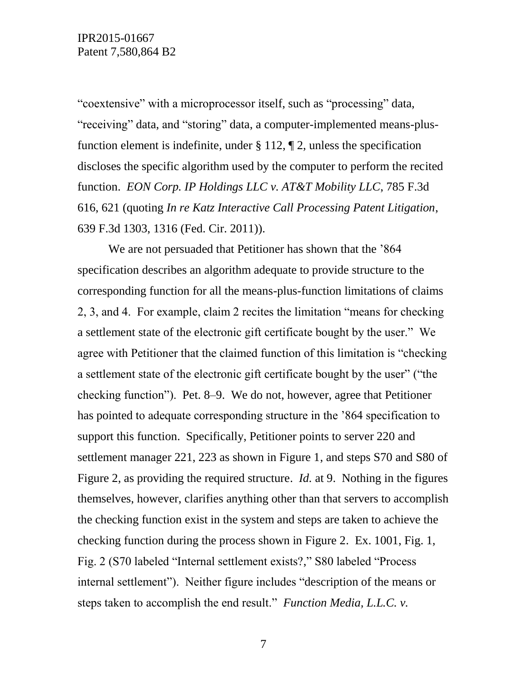"coextensive" with a microprocessor itself, such as "processing" data, "receiving" data, and "storing" data, a computer-implemented means-plusfunction element is indefinite, under  $\S 112$ ,  $\P 2$ , unless the specification discloses the specific algorithm used by the computer to perform the recited function. *EON Corp. IP Holdings LLC v. AT&T Mobility LLC*, 785 F.3d 616, 621 (quoting *In re Katz Interactive Call Processing Patent Litigation*, 639 F.3d 1303, 1316 (Fed. Cir. 2011)).

We are not persuaded that Petitioner has shown that the '864 specification describes an algorithm adequate to provide structure to the corresponding function for all the means-plus-function limitations of claims 2, 3, and 4. For example, claim 2 recites the limitation "means for checking a settlement state of the electronic gift certificate bought by the user." We agree with Petitioner that the claimed function of this limitation is "checking a settlement state of the electronic gift certificate bought by the user" ("the checking function"). Pet. 8–9. We do not, however, agree that Petitioner has pointed to adequate corresponding structure in the '864 specification to support this function. Specifically, Petitioner points to server 220 and settlement manager 221, 223 as shown in Figure 1, and steps S70 and S80 of Figure 2, as providing the required structure. *Id.* at 9. Nothing in the figures themselves, however, clarifies anything other than that servers to accomplish the checking function exist in the system and steps are taken to achieve the checking function during the process shown in Figure 2. Ex. 1001, Fig. 1, Fig. 2 (S70 labeled "Internal settlement exists?," S80 labeled "Process internal settlement"). Neither figure includes "description of the means or steps taken to accomplish the end result." *Function Media, L.L.C. v.*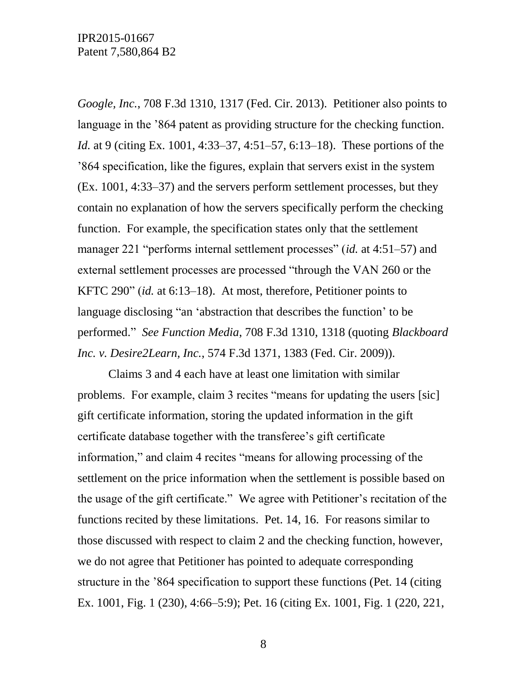*Google, Inc.*, 708 F.3d 1310, 1317 (Fed. Cir. 2013). Petitioner also points to language in the '864 patent as providing structure for the checking function. *Id.* at 9 (citing Ex. 1001, 4:33–37, 4:51–57, 6:13–18). These portions of the '864 specification, like the figures, explain that servers exist in the system (Ex. 1001, 4:33–37) and the servers perform settlement processes, but they contain no explanation of how the servers specifically perform the checking function. For example, the specification states only that the settlement manager 221 "performs internal settlement processes" (*id.* at 4:51–57) and external settlement processes are processed "through the VAN 260 or the KFTC 290" (*id.* at 6:13–18). At most, therefore, Petitioner points to language disclosing "an 'abstraction that describes the function' to be performed." *See Function Media*, 708 F.3d 1310, 1318 (quoting *Blackboard Inc. v. Desire2Learn, Inc.*, 574 F.3d 1371, 1383 (Fed. Cir. 2009)).

Claims 3 and 4 each have at least one limitation with similar problems. For example, claim 3 recites "means for updating the users [sic] gift certificate information, storing the updated information in the gift certificate database together with the transferee's gift certificate information," and claim 4 recites "means for allowing processing of the settlement on the price information when the settlement is possible based on the usage of the gift certificate." We agree with Petitioner's recitation of the functions recited by these limitations. Pet. 14, 16. For reasons similar to those discussed with respect to claim 2 and the checking function, however, we do not agree that Petitioner has pointed to adequate corresponding structure in the '864 specification to support these functions (Pet. 14 (citing Ex. 1001, Fig. 1 (230), 4:66–5:9); Pet. 16 (citing Ex. 1001, Fig. 1 (220, 221,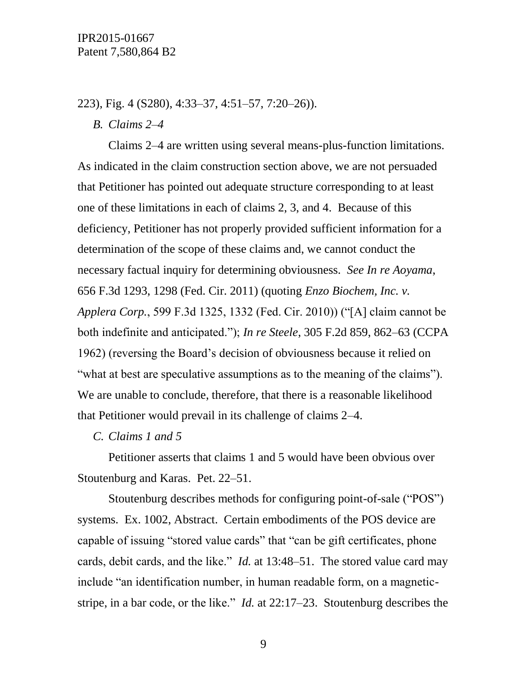223), Fig. 4 (S280), 4:33–37, 4:51–57, 7:20–26)).

*B. Claims 2–4*

Claims 2–4 are written using several means-plus-function limitations. As indicated in the claim construction section above, we are not persuaded that Petitioner has pointed out adequate structure corresponding to at least one of these limitations in each of claims 2, 3, and 4. Because of this deficiency, Petitioner has not properly provided sufficient information for a determination of the scope of these claims and, we cannot conduct the necessary factual inquiry for determining obviousness. *See In re Aoyama*, 656 F.3d 1293, 1298 (Fed. Cir. 2011) (quoting *Enzo Biochem, Inc. v. Applera Corp.*, 599 F.3d 1325, 1332 (Fed. Cir. 2010)) ("[A] claim cannot be both indefinite and anticipated."); *In re Steele*, 305 F.2d 859, 862–63 (CCPA 1962) (reversing the Board's decision of obviousness because it relied on "what at best are speculative assumptions as to the meaning of the claims"). We are unable to conclude, therefore, that there is a reasonable likelihood that Petitioner would prevail in its challenge of claims 2–4.

*C. Claims 1 and 5*

Petitioner asserts that claims 1 and 5 would have been obvious over Stoutenburg and Karas. Pet. 22–51.

Stoutenburg describes methods for configuring point-of-sale ("POS") systems. Ex. 1002, Abstract. Certain embodiments of the POS device are capable of issuing "stored value cards" that "can be gift certificates, phone cards, debit cards, and the like." *Id.* at 13:48–51. The stored value card may include "an identification number, in human readable form, on a magneticstripe, in a bar code, or the like." *Id.* at 22:17–23. Stoutenburg describes the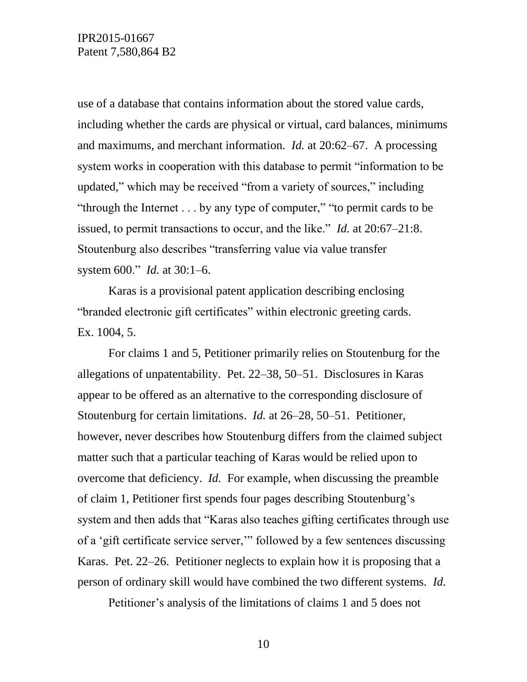use of a database that contains information about the stored value cards, including whether the cards are physical or virtual, card balances, minimums and maximums, and merchant information. *Id.* at 20:62–67. A processing system works in cooperation with this database to permit "information to be updated," which may be received "from a variety of sources," including "through the Internet . . . by any type of computer," "to permit cards to be issued, to permit transactions to occur, and the like." *Id.* at 20:67–21:8. Stoutenburg also describes "transferring value via value transfer system 600." *Id.* at 30:1–6.

Karas is a provisional patent application describing enclosing "branded electronic gift certificates" within electronic greeting cards. Ex. 1004, 5.

For claims 1 and 5, Petitioner primarily relies on Stoutenburg for the allegations of unpatentability. Pet. 22–38, 50–51. Disclosures in Karas appear to be offered as an alternative to the corresponding disclosure of Stoutenburg for certain limitations. *Id.* at 26–28, 50–51. Petitioner, however, never describes how Stoutenburg differs from the claimed subject matter such that a particular teaching of Karas would be relied upon to overcome that deficiency. *Id.* For example, when discussing the preamble of claim 1, Petitioner first spends four pages describing Stoutenburg's system and then adds that "Karas also teaches gifting certificates through use of a 'gift certificate service server,'" followed by a few sentences discussing Karas. Pet. 22–26. Petitioner neglects to explain how it is proposing that a person of ordinary skill would have combined the two different systems. *Id.*

Petitioner's analysis of the limitations of claims 1 and 5 does not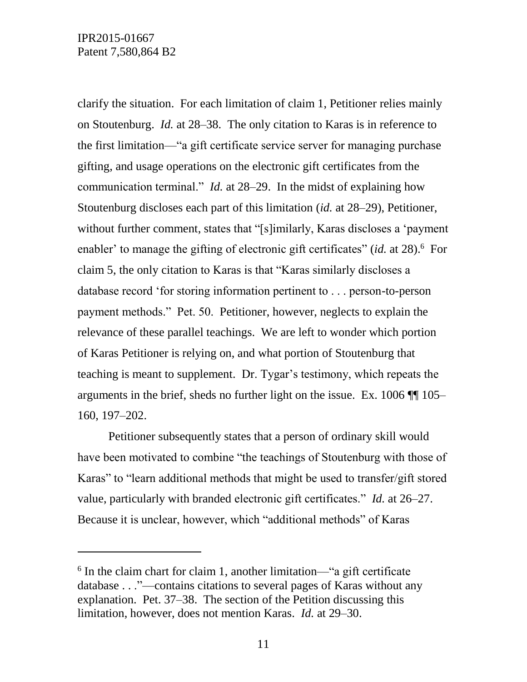l

clarify the situation. For each limitation of claim 1, Petitioner relies mainly on Stoutenburg. *Id.* at 28–38. The only citation to Karas is in reference to the first limitation—"a gift certificate service server for managing purchase gifting, and usage operations on the electronic gift certificates from the communication terminal." *Id.* at 28–29. In the midst of explaining how Stoutenburg discloses each part of this limitation (*id.* at 28–29), Petitioner, without further comment, states that "[s]imilarly, Karas discloses a 'payment enabler' to manage the gifting of electronic gift certificates" (*id.* at 28).<sup>6</sup> For claim 5, the only citation to Karas is that "Karas similarly discloses a database record 'for storing information pertinent to . . . person-to-person payment methods." Pet. 50. Petitioner, however, neglects to explain the relevance of these parallel teachings. We are left to wonder which portion of Karas Petitioner is relying on, and what portion of Stoutenburg that teaching is meant to supplement. Dr. Tygar's testimony, which repeats the arguments in the brief, sheds no further light on the issue. Ex. 1006 ¶¶ 105– 160, 197–202.

Petitioner subsequently states that a person of ordinary skill would have been motivated to combine "the teachings of Stoutenburg with those of Karas" to "learn additional methods that might be used to transfer/gift stored value, particularly with branded electronic gift certificates." *Id.* at 26–27. Because it is unclear, however, which "additional methods" of Karas

<sup>&</sup>lt;sup>6</sup> In the claim chart for claim 1, another limitation—"a gift certificate database . . ."—contains citations to several pages of Karas without any explanation. Pet. 37–38. The section of the Petition discussing this limitation, however, does not mention Karas. *Id.* at 29–30.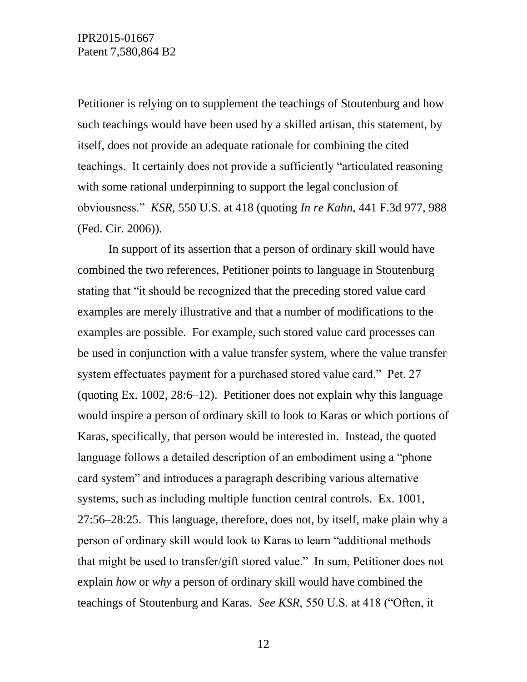Petitioner is relying on to supplement the teachings of Stoutenburg and how such teachings would have been used by a skilled artisan, this statement, by itself, does not provide an adequate rationale for combining the cited teachings. It certainly does not provide a sufficiently "articulated reasoning with some rational underpinning to support the legal conclusion of obviousness." *KSR*, 550 U.S. at 418 (quoting *In re Kahn*, 441 F.3d 977, 988 (Fed. Cir. 2006)).

In support of its assertion that a person of ordinary skill would have combined the two references, Petitioner points to language in Stoutenburg stating that "it should be recognized that the preceding stored value card examples are merely illustrative and that a number of modifications to the examples are possible. For example, such stored value card processes can be used in conjunction with a value transfer system, where the value transfer system effectuates payment for a purchased stored value card." Pet. 27 (quoting Ex. 1002, 28:6–12). Petitioner does not explain why this language would inspire a person of ordinary skill to look to Karas or which portions of Karas, specifically, that person would be interested in. Instead, the quoted language follows a detailed description of an embodiment using a "phone card system" and introduces a paragraph describing various alternative systems, such as including multiple function central controls. Ex. 1001, 27:56–28:25. This language, therefore, does not, by itself, make plain why a person of ordinary skill would look to Karas to learn "additional methods that might be used to transfer/gift stored value." In sum, Petitioner does not explain *how* or *why* a person of ordinary skill would have combined the teachings of Stoutenburg and Karas. *See KSR*, 550 U.S. at 418 ("Often, it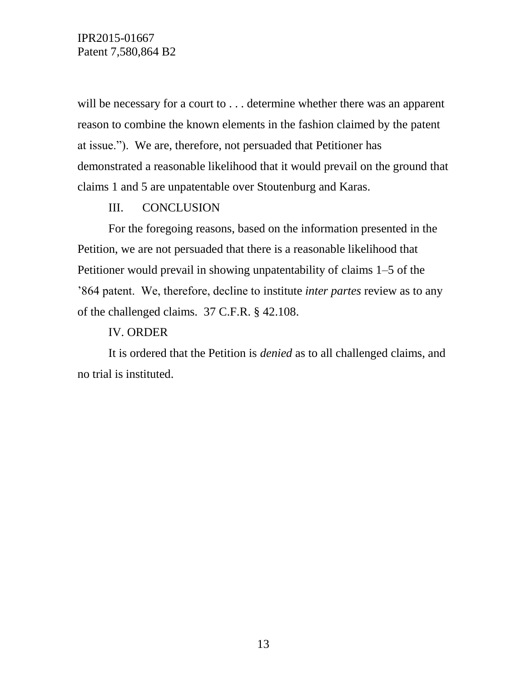will be necessary for a court to . . . determine whether there was an apparent reason to combine the known elements in the fashion claimed by the patent at issue."). We are, therefore, not persuaded that Petitioner has demonstrated a reasonable likelihood that it would prevail on the ground that claims 1 and 5 are unpatentable over Stoutenburg and Karas.

#### III. CONCLUSION

For the foregoing reasons, based on the information presented in the Petition, we are not persuaded that there is a reasonable likelihood that Petitioner would prevail in showing unpatentability of claims 1–5 of the '864 patent. We, therefore, decline to institute *inter partes* review as to any of the challenged claims. 37 C.F.R. § 42.108.

### IV. ORDER

It is ordered that the Petition is *denied* as to all challenged claims, and no trial is instituted.